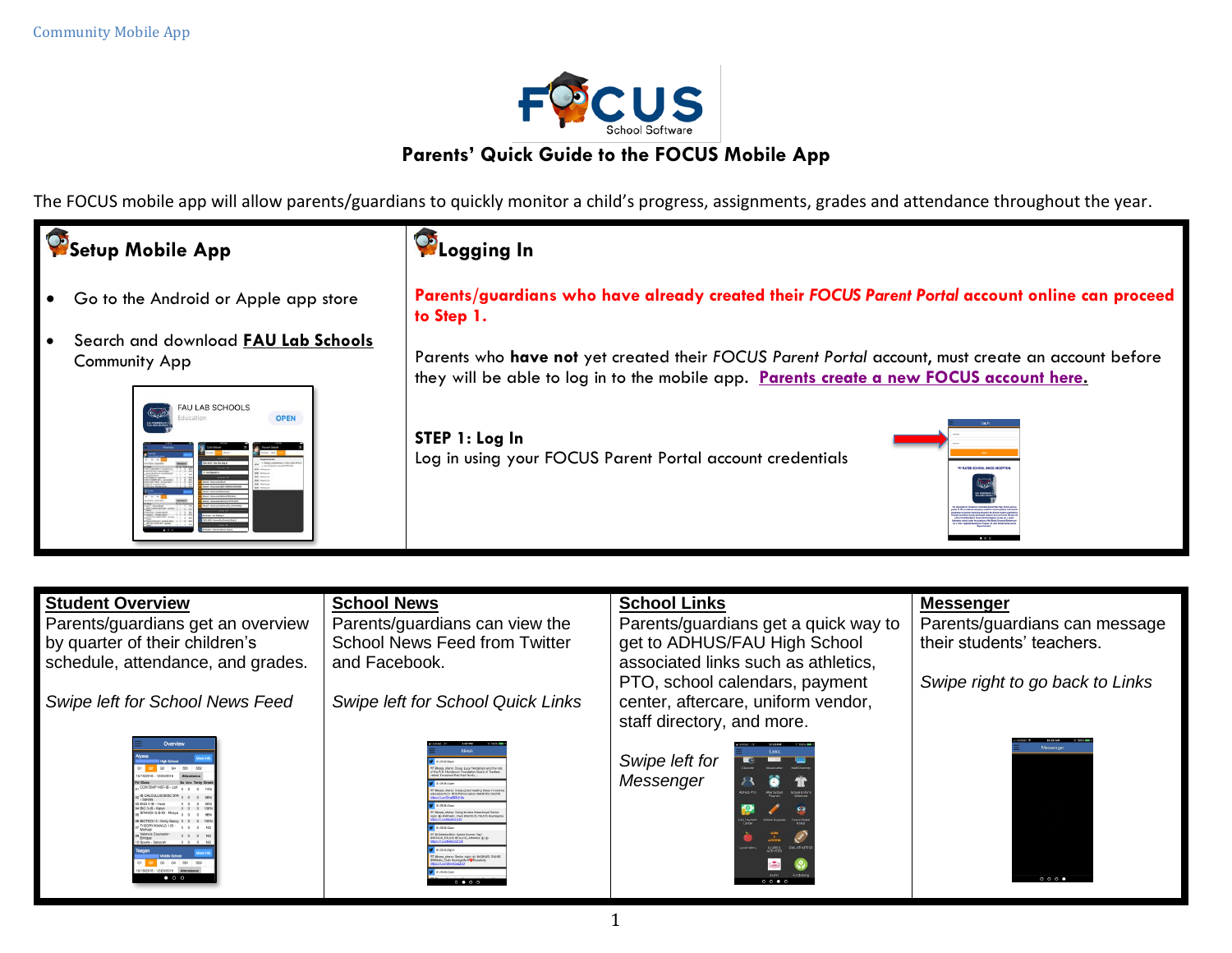

## **Parents' Quick Guide to the FOCUS Mobile App**

The FOCUS mobile app will allow parents/guardians to quickly monitor a child's progress, assignments, grades and attendance throughout the year.



by quarter of their children's schedule, attendance, and grades.

*Swipe left for School News Feed*



School News Feed from Twitter and Facebook.

*Swipe left for School Quick Links*



| associated links such as athletics,<br>PTO, school calendars, payment<br>center, aftercare, uniform vendor,<br>staff directory, and more. |                                                                                                                                                                                                                                                                                                                 |  |  |  |
|-------------------------------------------------------------------------------------------------------------------------------------------|-----------------------------------------------------------------------------------------------------------------------------------------------------------------------------------------------------------------------------------------------------------------------------------------------------------------|--|--|--|
| Swipe left for<br>Messenger                                                                                                               | 12-33 PM<br>9.1003.8<br>Links<br>News Letter<br>Stuff Directory<br>abis.it ont<br><b>Returns</b><br><b>NAMES</b><br>oa<br><b>FAU Povmers</b><br>School Supplies<br><b>GOAL Parent</b><br>Conter<br>500<br><b>CLUBB</b><br>Linch Maria<br><b>CLUBS &amp;</b><br>OWLATHLETICS<br><b>ACTMODES</b><br><b>ALCOHO</b> |  |  |  |

their students' teachers.

*Swipe right to go back to Links*